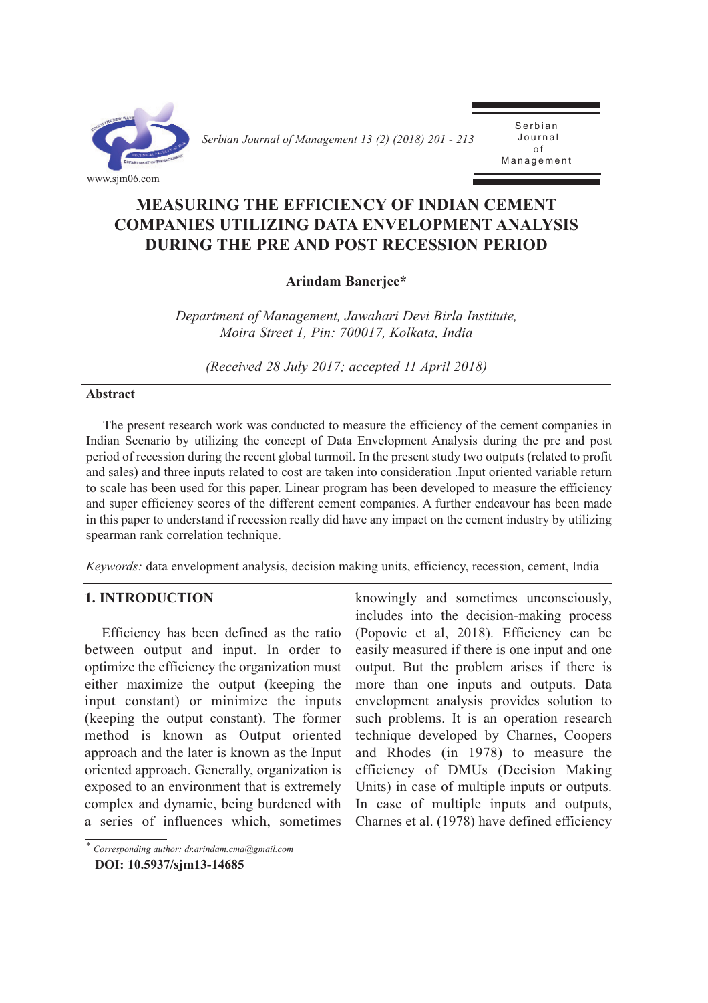

*Serbian Journal of Management 13 (2) (2018) 201 - 213* 

**Serbian** J o u r n a l o f **Management** 

# **MEASURiNG THE EFFiCiENCY oF iNdiAN CEMENT CoMPANiES UTiLiZiNG dATA ENVELoPMENT ANALYSiS dURiNG THE PRE ANd PoST RECESSioN PERiod**

## **Arindam Banerjee\***

*Department of Management, Jawahari Devi Birla Institute, Moira Street 1, Pin: 700017, Kolkata, India*

*(Received 28 July 2017; accepted 11 April 2018)*

#### **Abstract**

The present research work was conducted to measure the efficiency of the cement companies in Indian Scenario by utilizing the concept of Data Envelopment Analysis during the pre and post period of recession during the recent global turmoil. In the present study two outputs (related to profit and sales) and three inputs related to cost are taken into consideration .Input oriented variable return to scale has been used for this paper. Linear program has been developed to measure the efficiency and super efficiency scores of the different cement companies. A further endeavour has been made in this paper to understand if recession really did have any impact on the cement industry by utilizing spearman rank correlation technique.

*Keywords:* data envelopment analysis, decision making units, efficiency, recession, cement, India

## **1. iNTRodUCTioN**

Efficiency has been defined as the ratio between output and input. In order to optimize the efficiency the organization must either maximize the output (keeping the input constant) or minimize the inputs (keeping the output constant). The former method is known as Output oriented approach and the later is known as the Input oriented approach. Generally, organization is exposed to an environment that is extremely complex and dynamic, being burdened with a series of influences which, sometimes

knowingly and sometimes unconsciously, includes into the decision-making process (Popovic et al, 2018). Efficiency can be easily measured if there is one input and one output. But the problem arises if there is more than one inputs and outputs. Data envelopment analysis provides solution to such problems. It is an operation research technique developed by Charnes, Coopers and Rhodes (in 1978) to measure the efficiency of DMUs (Decision Making Units) in case of multiple inputs or outputs. In case of multiple inputs and outputs, Charnes et al. (1978) have defined efficiency

*<sup>\*</sup> Corresponding author: dr.arindam.cma@gmail.com* 

**doi: 10.5937/sjm13-14685**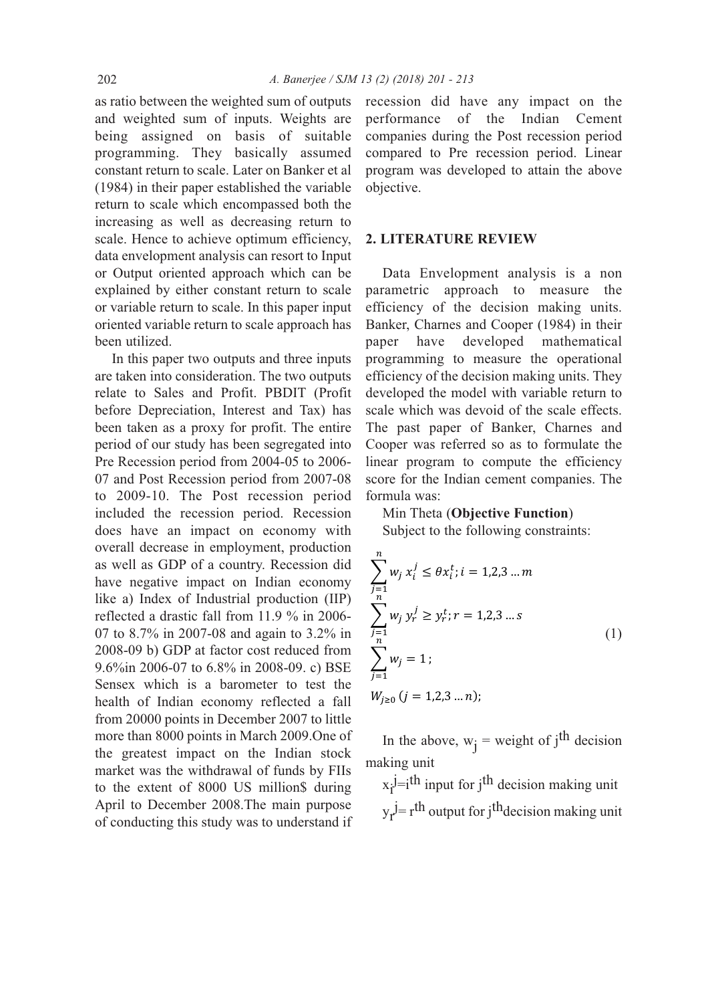as ratio between the weighted sum of outputs and weighted sum of inputs. Weights are being assigned on basis of suitable programming. They basically assumed constant return to scale. Later on Banker et al (1984) in their paper established the variable return to scale which encompassed both the increasing as well as decreasing return to scale. Hence to achieve optimum efficiency, data envelopment analysis can resort to Input or Output oriented approach which can be explained by either constant return to scale or variable return to scale. In this paper input oriented variable return to scale approach has been utilized.

In this paper two outputs and three inputs are taken into consideration. The two outputs relate to Sales and Profit. PBDIT (Profit before Depreciation, Interest and Tax) has been taken as a proxy for profit. The entire period of our study has been segregated into Pre Recession period from 2004-05 to 2006- 07 and Post Recession period from 2007-08 to 2009-10. The Post recession period included the recession period. Recession does have an impact on economy with overall decrease in employment, production as well as GDP of a country. Recession did have negative impact on Indian economy like a) Index of Industrial production (IIP) reflected a drastic fall from 11.9 % in 2006- 07 to 8.7% in 2007-08 and again to 3.2% in 2008-09 b) GDP at factor cost reduced from 9.6%in 2006-07 to 6.8% in 2008-09. c) BSE Sensex which is a barometer to test the health of Indian economy reflected a fall from 20000 points in December 2007 to little more than 8000 points in March 2009.One of the greatest impact on the Indian stock market was the withdrawal of funds by FIIs to the extent of 8000 US million\$ during April to December 2008.The main purpose of conducting this study was to understand if recession did have any impact on the performance of the Indian Cement companies during the Post recession period compared to Pre recession period. Linear program was developed to attain the above objective.

## **2. LiTERATURE REViEW**

Data Envelopment analysis is a non parametric approach to measure the efficiency of the decision making units. Banker, Charnes and Cooper (1984) in their paper have developed mathematical programming to measure the operational efficiency of the decision making units. They developed the model with variable return to scale which was devoid of the scale effects. The past paper of Banker, Charnes and Cooper was referred so as to formulate the linear program to compute the efficiency score for the Indian cement companies. The formula was:

### Min Theta (**objective Function**)

Subject to the following constraints:

$$
\sum_{j=1}^{n} w_j x_i^j \le \theta x_i^t; i = 1, 2, 3 \dots m
$$
  

$$
\sum_{j=1}^{n} w_j y_r^j \ge y_r^t; r = 1, 2, 3 \dots s
$$
  

$$
\sum_{j=1}^{n} w_j = 1;
$$
  

$$
W_{j \ge 0} (j = 1, 2, 3 \dots n);
$$
  

$$
(1)
$$

In the above,  $w_j$  = weight of j<sup>th</sup> decision making unit

 $x_i$ <sup>j</sup>=i<sup>th</sup> input for j<sup>th</sup> decision making unit  $y_r$ <sup>j</sup>= r<sup>th</sup> output for j<sup>th</sup>decision making unit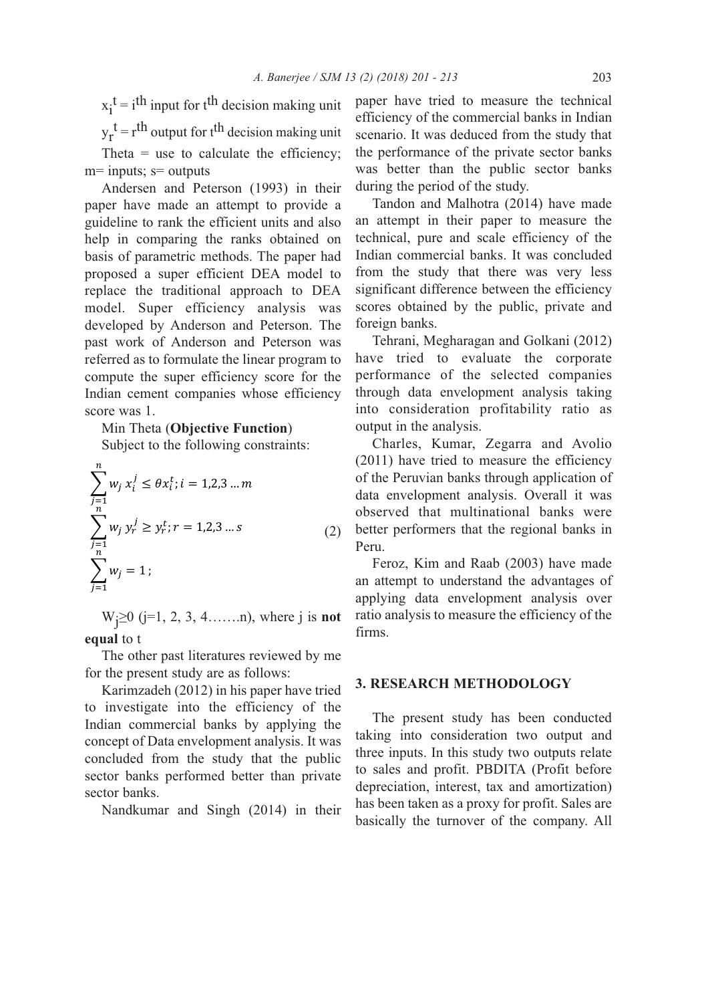$x_i^t = i^{th}$  input for t<sup>th</sup> decision making unit  $y_r^t = r^{th}$  output for t<sup>th</sup> decision making unit Theta  $=$  use to calculate the efficiency; m= inputs; s= outputs

Andersen and Peterson (1993) in their paper have made an attempt to provide a guideline to rank the efficient units and also help in comparing the ranks obtained on basis of parametric methods. The paper had proposed a super efficient DEA model to replace the traditional approach to DEA model. Super efficiency analysis was developed by Anderson and Peterson. The past work of Anderson and Peterson was referred as to formulate the linear program to compute the super efficiency score for the Indian cement companies whose efficiency score was 1.

Min Theta (**objective Function**)

Subject to the following constraints:

$$
\sum_{j=1}^{n} w_j x_i^j \le \theta x_i^t; i = 1, 2, 3 \dots m
$$
  

$$
\sum_{j=1}^{n} w_j y_r^j \ge y_r^t; r = 1, 2, 3 \dots s
$$
  

$$
\sum_{j=1}^{n} w_j = 1;
$$
 (2)

Wj ≥0 (j=1, 2, 3, 4…….n), where j is **not equal** to t

The other past literatures reviewed by me for the present study are as follows:

Karimzadeh (2012) in his paper have tried to investigate into the efficiency of the Indian commercial banks by applying the concept of Data envelopment analysis. It was concluded from the study that the public sector banks performed better than private sector banks.

Nandkumar and Singh (2014) in their

paper have tried to measure the technical efficiency of the commercial banks in Indian scenario. It was deduced from the study that the performance of the private sector banks was better than the public sector banks during the period of the study.

Tandon and Malhotra (2014) have made an attempt in their paper to measure the technical, pure and scale efficiency of the Indian commercial banks. It was concluded from the study that there was very less significant difference between the efficiency scores obtained by the public, private and foreign banks.

Tehrani, Megharagan and Golkani (2012) have tried to evaluate the corporate performance of the selected companies through data envelopment analysis taking into consideration profitability ratio as output in the analysis.

Charles, Kumar, Zegarra and Avolio (2011) have tried to measure the efficiency of the Peruvian banks through application of data envelopment analysis. Overall it was observed that multinational banks were better performers that the regional banks in Peru.

Feroz, Kim and Raab (2003) have made an attempt to understand the advantages of applying data envelopment analysis over ratio analysis to measure the efficiency of the firms.

### **3. RESEARCH METHodoLoGY**

The present study has been conducted taking into consideration two output and three inputs. In this study two outputs relate to sales and profit. PBDITA (Profit before depreciation, interest, tax and amortization) has been taken as a proxy for profit. Sales are basically the turnover of the company. All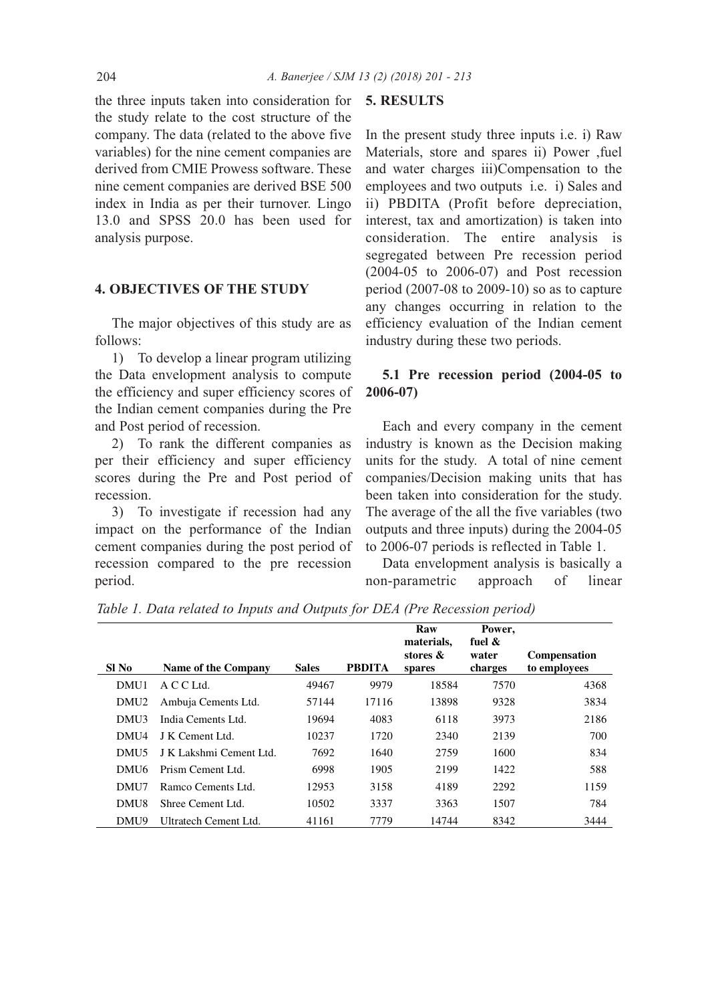the three inputs taken into consideration for the study relate to the cost structure of the company. The data (related to the above five variables) for the nine cement companies are derived from CMIE Prowess software. These nine cement companies are derived BSE 500 index in India as per their turnover. Lingo 13.0 and SPSS 20.0 has been used for analysis purpose.

#### **4. oBjECTiVES oF THE STUdY**

The major objectives of this study are as follows:

1) To develop a linear program utilizing the Data envelopment analysis to compute the efficiency and super efficiency scores of the Indian cement companies during the Pre and Post period of recession.

2) To rank the different companies as per their efficiency and super efficiency scores during the Pre and Post period of recession.

3) To investigate if recession had any impact on the performance of the Indian cement companies during the post period of recession compared to the pre recession period.

#### **5. RESULTS**

In the present study three inputs i.e. i) Raw Materials, store and spares ii) Power ,fuel and water charges iii)Compensation to the employees and two outputs i.e. i) Sales and ii) PBDITA (Profit before depreciation, interest, tax and amortization) is taken into consideration. The entire analysis is segregated between Pre recession period (2004-05 to 2006-07) and Post recession period (2007-08 to 2009-10) so as to capture any changes occurring in relation to the efficiency evaluation of the Indian cement industry during these two periods.

## **5.1 Pre recession period (2004-05 to 2006-07)**

Each and every company in the cement industry is known as the Decision making units for the study. A total of nine cement companies/Decision making units that has been taken into consideration for the study. The average of the all the five variables (two outputs and three inputs) during the 2004-05 to 2006-07 periods is reflected in Table 1.

Data envelopment analysis is basically a non-parametric approach of linear

*Table 1. Data related to Inputs and Outputs for DEA (Pre Recession period)*

| SI No            | Name of the Company     | <b>Sales</b> | <b>PBDITA</b> | Raw<br>materials,<br>stores &<br>spares | Power,<br>fuel $\&$<br>water<br>charges | <b>Compensation</b><br>to employees |
|------------------|-------------------------|--------------|---------------|-----------------------------------------|-----------------------------------------|-------------------------------------|
| DMU1             | A C C Ltd.              | 49467        | 9979          | 18584                                   | 7570                                    | 4368                                |
| DMU <sub>2</sub> | Ambuja Cements Ltd.     | 57144        | 17116         | 13898                                   | 9328                                    | 3834                                |
| DMU3             | India Cements Ltd.      | 19694        | 4083          | 6118                                    | 3973                                    | 2186                                |
| DMU4             | J K Cement Ltd.         | 10237        | 1720          | 2340                                    | 2139                                    | 700                                 |
| DMU <sub>5</sub> | J K Lakshmi Cement Ltd. | 7692         | 1640          | 2759                                    | 1600                                    | 834                                 |
| DMU6             | Prism Cement Ltd.       | 6998         | 1905          | 2199                                    | 1422                                    | 588                                 |
| DMU7             | Ramco Cements Ltd.      | 12953        | 3158          | 4189                                    | 2292                                    | 1159                                |
| DMU8             | Shree Cement Ltd.       | 10502        | 3337          | 3363                                    | 1507                                    | 784                                 |
| DMU9             | Ultratech Cement Ltd.   | 41161        | 7779          | 14744                                   | 8342                                    | 3444                                |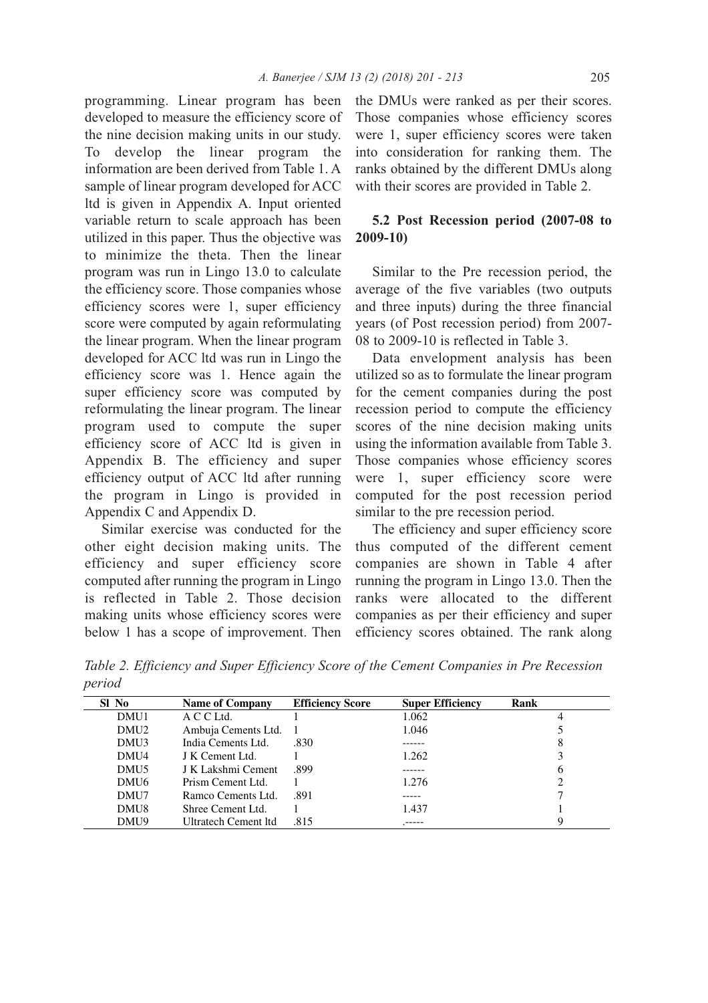programming. Linear program has been developed to measure the efficiency score of the nine decision making units in our study. To develop the linear program the information are been derived from Table 1. A sample of linear program developed for ACC ltd is given in Appendix A. Input oriented variable return to scale approach has been utilized in this paper. Thus the objective was to minimize the theta. Then the linear program was run in Lingo 13.0 to calculate the efficiency score. Those companies whose efficiency scores were 1, super efficiency score were computed by again reformulating the linear program. When the linear program developed for ACC ltd was run in Lingo the efficiency score was 1. Hence again the super efficiency score was computed by reformulating the linear program. The linear program used to compute the super efficiency score of ACC ltd is given in Appendix B. The efficiency and super efficiency output of ACC ltd after running the program in Lingo is provided in Appendix C and Appendix D.

Similar exercise was conducted for the other eight decision making units. The efficiency and super efficiency score computed after running the program in Lingo is reflected in Table 2. Those decision making units whose efficiency scores were below 1 has a scope of improvement. Then

the DMUs were ranked as per their scores. Those companies whose efficiency scores were 1, super efficiency scores were taken into consideration for ranking them. The ranks obtained by the different DMUs along with their scores are provided in Table 2.

## **5.2 Post Recession period (2007-08 to 2009-10)**

Similar to the Pre recession period, the average of the five variables (two outputs and three inputs) during the three financial years (of Post recession period) from 2007- 08 to 2009-10 is reflected in Table 3.

Data envelopment analysis has been utilized so as to formulate the linear program for the cement companies during the post recession period to compute the efficiency scores of the nine decision making units using the information available from Table 3. Those companies whose efficiency scores were 1, super efficiency score were computed for the post recession period similar to the pre recession period.

The efficiency and super efficiency score thus computed of the different cement companies are shown in Table 4 after running the program in Lingo 13.0. Then the ranks were allocated to the different companies as per their efficiency and super efficiency scores obtained. The rank along

*Table 2. Efficiency and Super Efficiency Score of the Cement Companies in Pre Recession period*

| SI No            | <b>Name of Company</b> | <b>Efficiency Score</b> | <b>Super Efficiency</b> | Rank |
|------------------|------------------------|-------------------------|-------------------------|------|
| DMU1             | A C C Ltd.             |                         | 1.062                   |      |
| DMU <sub>2</sub> | Ambuja Cements Ltd. 1  |                         | 1.046                   |      |
| DMU3             | India Cements Ltd.     | .830                    |                         | 8    |
| DMU4             | J K Cement Ltd.        |                         | 1.262                   |      |
| DMU5             | J K Lakshmi Cement     | .899                    |                         | 6    |
| DMU <sub>6</sub> | Prism Cement Ltd.      |                         | 1.276                   | ↑    |
| DMU7             | Ramco Cements Ltd.     | .891                    |                         |      |
| DMU8             | Shree Cement Ltd.      |                         | 1.437                   |      |
| DMU9             | Ultratech Cement Itd   | .815                    |                         | Q    |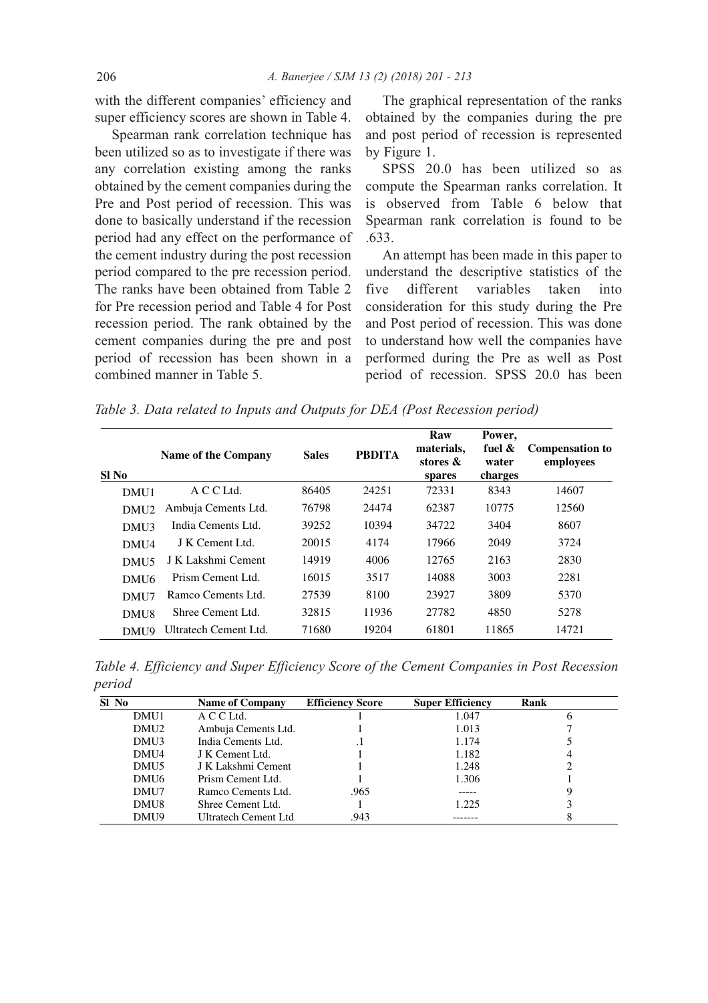with the different companies' efficiency and super efficiency scores are shown in Table 4.

Spearman rank correlation technique has been utilized so as to investigate if there was any correlation existing among the ranks obtained by the cement companies during the Pre and Post period of recession. This was done to basically understand if the recession period had any effect on the performance of the cement industry during the post recession period compared to the pre recession period. The ranks have been obtained from Table 2 for Pre recession period and Table 4 for Post recession period. The rank obtained by the cement companies during the pre and post period of recession has been shown in a combined manner in Table 5.

The graphical representation of the ranks obtained by the companies during the pre and post period of recession is represented by Figure 1.

SPSS 20.0 has been utilized so as compute the Spearman ranks correlation. It is observed from Table 6 below that Spearman rank correlation is found to be .633.

An attempt has been made in this paper to understand the descriptive statistics of the five different variables taken into consideration for this study during the Pre and Post period of recession. This was done to understand how well the companies have performed during the Pre as well as Post period of recession. SPSS 20.0 has been

*Table 3. Data related to Inputs and Outputs for DEA (Post Recession period)*

| SI No            | <b>Name of the Company</b> | <b>Sales</b> | <b>PBDITA</b> | Raw<br>materials,<br>stores &<br>spares | Power,<br>fuel $\&$<br>water<br>charges | <b>Compensation to</b><br>employees |
|------------------|----------------------------|--------------|---------------|-----------------------------------------|-----------------------------------------|-------------------------------------|
| DMU1             | A C C Ltd.                 | 86405        | 24251         | 72331                                   | 8343                                    | 14607                               |
| DMU <sub>2</sub> | Ambuja Cements Ltd.        | 76798        | 24474         | 62387                                   | 10775                                   | 12560                               |
| DMU3             | India Cements Ltd.         | 39252        | 10394         | 34722                                   | 3404                                    | 8607                                |
| DMU4             | J K Cement Ltd.            | 20015        | 4174          | 17966                                   | 2049                                    | 3724                                |
| DMU <sub>5</sub> | J K Lakshmi Cement         | 14919        | 4006          | 12765                                   | 2163                                    | 2830                                |
| DMU <sub>6</sub> | Prism Cement Ltd.          | 16015        | 3517          | 14088                                   | 3003                                    | 2281                                |
| DMU7             | Ramco Cements Ltd.         | 27539        | 8100          | 23927                                   | 3809                                    | 5370                                |
| DMU <sub>8</sub> | Shree Cement Ltd.          | 32815        | 11936         | 27782                                   | 4850                                    | 5278                                |
| DMU9             | Ultratech Cement Ltd.      | 71680        | 19204         | 61801                                   | 11865                                   | 14721                               |

*Table 4. Efficiency and Super Efficiency Score of the Cement Companies in Post Recession period*

| SI No            | <b>Name of Company</b> | <b>Efficiency Score</b> | <b>Super Efficiency</b> | Rank |
|------------------|------------------------|-------------------------|-------------------------|------|
| DMU1             | A C C Ltd.             |                         | 1.047                   | n    |
| DMU <sub>2</sub> | Ambuja Cements Ltd.    |                         | 1.013                   |      |
| DMU3             | India Cements Ltd.     |                         | 1.174                   |      |
| DMU4             | J K Cement Ltd.        |                         | 1.182                   |      |
| DMU5             | J K Lakshmi Cement     |                         | 1.248                   |      |
| DMU <sub>6</sub> | Prism Cement Ltd.      |                         | 1.306                   |      |
| DMU7             | Ramco Cements Ltd.     | .965                    |                         | 9    |
| DMU8             | Shree Cement Ltd.      |                         | 1.225                   |      |
| DMU9             | Ultratech Cement Ltd   | .943                    |                         |      |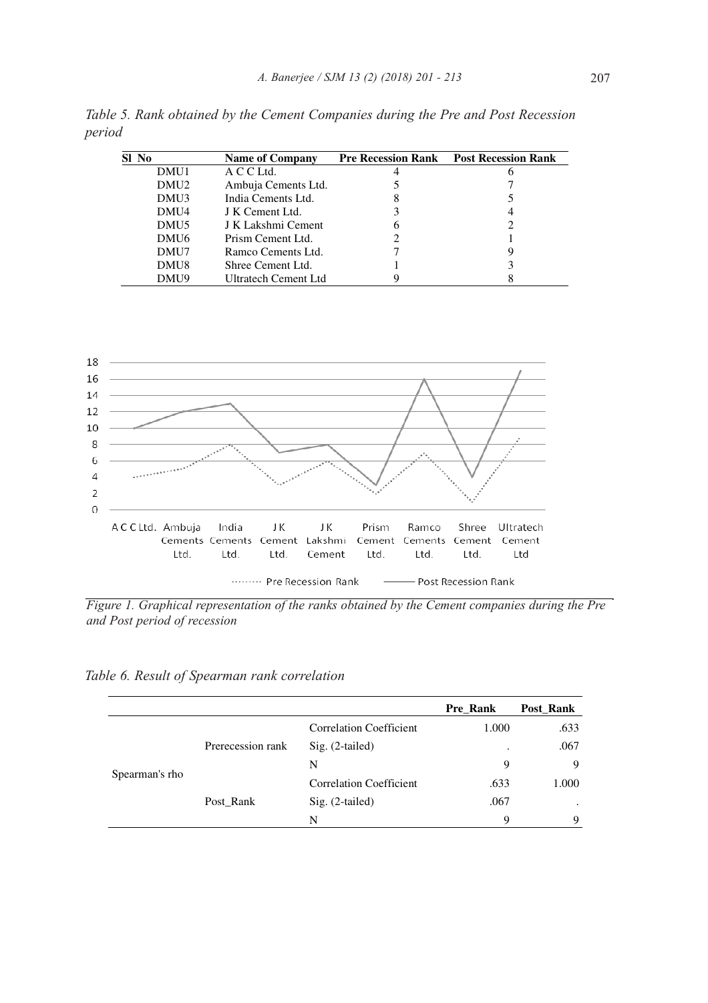| Sl No            | <b>Name of Company</b>      |   | <b>Pre Recession Rank Post Recession Rank</b> |
|------------------|-----------------------------|---|-----------------------------------------------|
| DMU1             | A C C Ltd.                  |   |                                               |
| DMU <sub>2</sub> | Ambuja Cements Ltd.         |   |                                               |
| DMU3             | India Cements Ltd.          | 8 |                                               |
| DMU4             | J K Cement Ltd.             |   | 4                                             |
| DMU <sub>5</sub> | J K Lakshmi Cement          | O |                                               |
| DMU6             | Prism Cement Ltd.           |   |                                               |
| DMU7             | Ramco Cements Ltd.          |   |                                               |
| DMU8             | Shree Cement Ltd.           |   |                                               |
| DMU9             | <b>Ultratech Cement Ltd</b> |   |                                               |

*Table 5. Rank obtained by the Cement Companies during the Pre and Post Recession period* 



*Figure 1. Graphical representation of the ranks obtained by the Cement companies during the Pre and Post period of recession*

*Table 6. Result of Spearman rank correlation* 

|                |                   |                                | Pre Rank | Post_Rank |
|----------------|-------------------|--------------------------------|----------|-----------|
|                |                   | <b>Correlation Coefficient</b> | 1.000    | .633      |
|                | Prerecession rank | $Sig. (2-tailed)$              | ٠        | .067      |
|                |                   | N                              | 9        | 9         |
| Spearman's rho |                   | <b>Correlation Coefficient</b> | .633     | 1.000     |
|                | Post_Rank         | $Sig. (2-tailed)$              | .067     | ٠         |
|                |                   | N                              | 9        | 9         |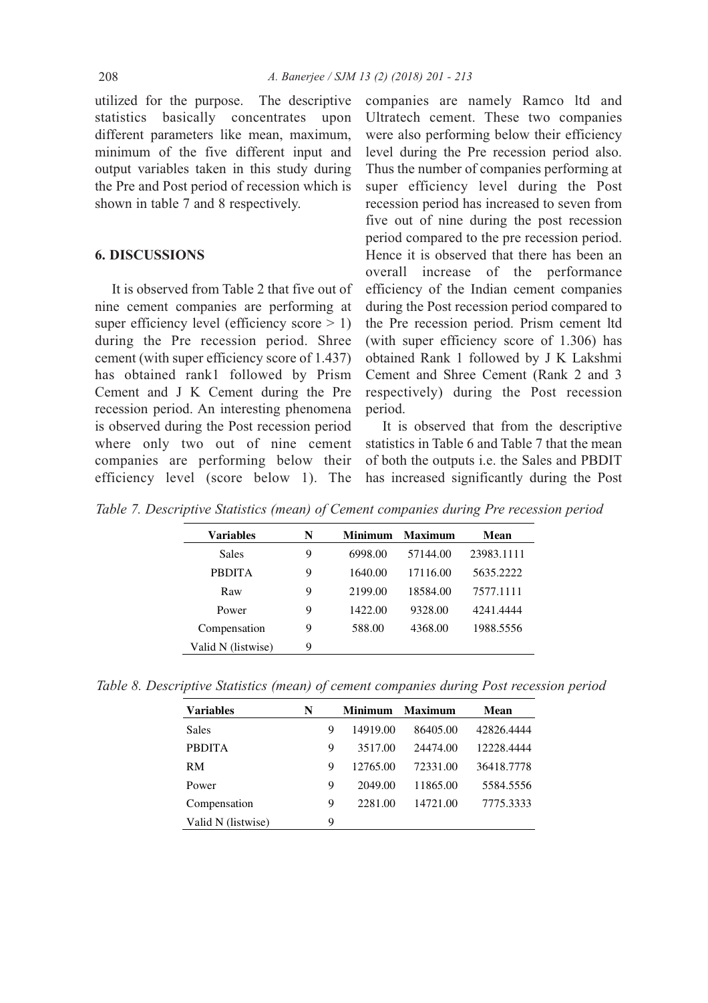utilized for the purpose. The descriptive statistics basically concentrates upon different parameters like mean, maximum, minimum of the five different input and output variables taken in this study during the Pre and Post period of recession which is shown in table 7 and 8 respectively.

### **6. diSCUSSioNS**

It is observed from Table 2 that five out of nine cement companies are performing at super efficiency level (efficiency score > 1) during the Pre recession period. Shree cement (with super efficiency score of 1.437) has obtained rank1 followed by Prism Cement and J K Cement during the Pre recession period. An interesting phenomena is observed during the Post recession period where only two out of nine cement companies are performing below their efficiency level (score below 1). The

companies are namely Ramco ltd and Ultratech cement. These two companies were also performing below their efficiency level during the Pre recession period also. Thus the number of companies performing at super efficiency level during the Post recession period has increased to seven from five out of nine during the post recession period compared to the pre recession period. Hence it is observed that there has been an overall increase of the performance efficiency of the Indian cement companies during the Post recession period compared to the Pre recession period. Prism cement ltd (with super efficiency score of 1.306) has obtained Rank 1 followed by J K Lakshmi Cement and Shree Cement (Rank 2 and 3 respectively) during the Post recession period.

It is observed that from the descriptive statistics in Table 6 and Table 7 that the mean of both the outputs i.e. the Sales and PBDIT has increased significantly during the Post

*Table 7. Descriptive Statistics (mean) of Cement companies during Pre recession period*

| Variables          | N | <b>Minimum</b> | <b>Maximum</b> | Mean       |
|--------------------|---|----------------|----------------|------------|
| <b>Sales</b>       | 9 | 6998.00        | 57144.00       | 23983.1111 |
| <b>PRDITA</b>      | 9 | 1640.00        | 17116.00       | 5635.2222  |
| Raw                | 9 | 2199.00        | 18584.00       | 7577.1111  |
| Power              | 9 | 1422.00        | 9328.00        | 4241.4444  |
| Compensation       | 9 | 588.00         | 4368.00        | 1988.5556  |
| Valid N (listwise) | 9 |                |                |            |

*Table 8. Descriptive Statistics (mean) of cement companies during Post recession period*

| <b>Variables</b>   | N |   | <b>Minimum</b> | <b>Maximum</b> | Mean       |
|--------------------|---|---|----------------|----------------|------------|
| <b>Sales</b>       |   | 9 | 14919.00       | 86405.00       | 42826.4444 |
| <b>PBDITA</b>      |   | 9 | 3517.00        | 24474.00       | 12228.4444 |
| RM                 |   | 9 | 12765.00       | 72331.00       | 36418.7778 |
| Power              |   | 9 | 2049.00        | 11865.00       | 5584.5556  |
| Compensation       |   | 9 | 2281.00        | 14721.00       | 7775.3333  |
| Valid N (listwise) |   | 9 |                |                |            |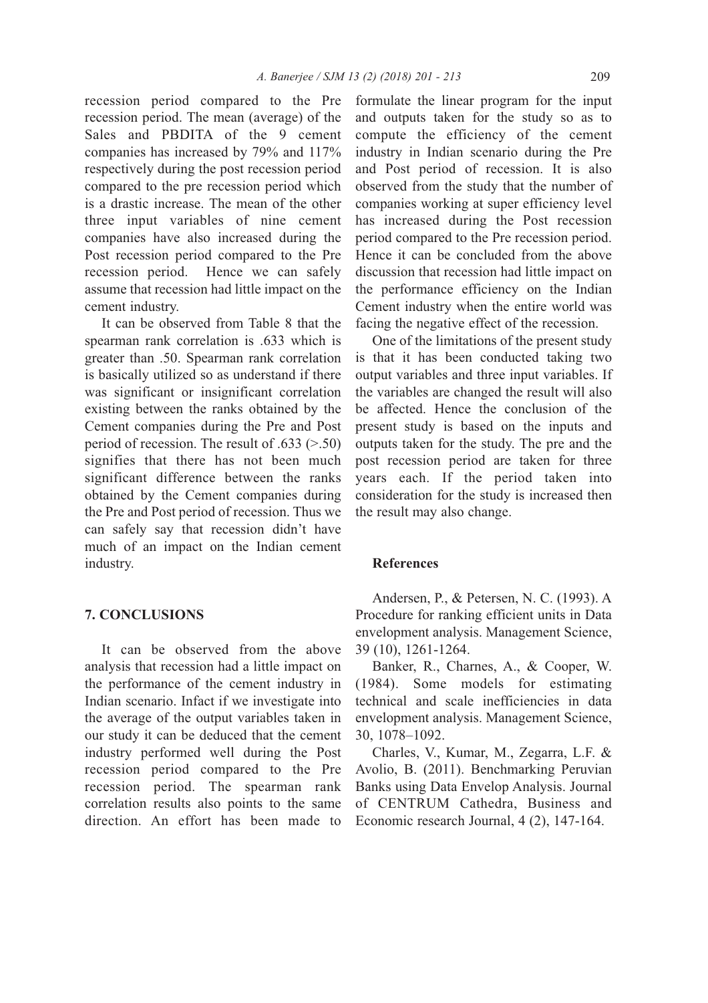recession period compared to the Pre recession period. The mean (average) of the Sales and PBDITA of the 9 cement companies has increased by 79% and 117% respectively during the post recession period compared to the pre recession period which is a drastic increase. The mean of the other three input variables of nine cement companies have also increased during the Post recession period compared to the Pre recession period. Hence we can safely assume that recession had little impact on the cement industry.

It can be observed from Table 8 that the spearman rank correlation is .633 which is greater than .50. Spearman rank correlation is basically utilized so as understand if there was significant or insignificant correlation existing between the ranks obtained by the Cement companies during the Pre and Post period of recession. The result of .633 (>.50) signifies that there has not been much significant difference between the ranks obtained by the Cement companies during the Pre and Post period of recession. Thus we can safely say that recession didn't have much of an impact on the Indian cement industry.

#### **7. CoNCLUSioNS**

It can be observed from the above analysis that recession had a little impact on the performance of the cement industry in Indian scenario. Infact if we investigate into the average of the output variables taken in our study it can be deduced that the cement industry performed well during the Post recession period compared to the Pre recession period. The spearman rank correlation results also points to the same direction. An effort has been made to

formulate the linear program for the input and outputs taken for the study so as to compute the efficiency of the cement industry in Indian scenario during the Pre and Post period of recession. It is also observed from the study that the number of companies working at super efficiency level has increased during the Post recession period compared to the Pre recession period. Hence it can be concluded from the above discussion that recession had little impact on the performance efficiency on the Indian Cement industry when the entire world was facing the negative effect of the recession.

One of the limitations of the present study is that it has been conducted taking two output variables and three input variables. If the variables are changed the result will also be affected. Hence the conclusion of the present study is based on the inputs and outputs taken for the study. The pre and the post recession period are taken for three years each. If the period taken into consideration for the study is increased then the result may also change.

#### **References**

Andersen, P., & Petersen, N. C. (1993). A Procedure for ranking efficient units in Data envelopment analysis. Management Science, 39 (10), 1261-1264.

Banker, R., Charnes, A., & Cooper, W. (1984). Some models for estimating technical and scale inefficiencies in data envelopment analysis. Management Science, 30, 1078–1092.

Charles, V., Kumar, M., Zegarra, L.F. & Avolio, B. (2011). Benchmarking Peruvian Banks using Data Envelop Analysis. Journal of CENTRUM Cathedra, Business and Economic research Journal, 4 (2), 147-164.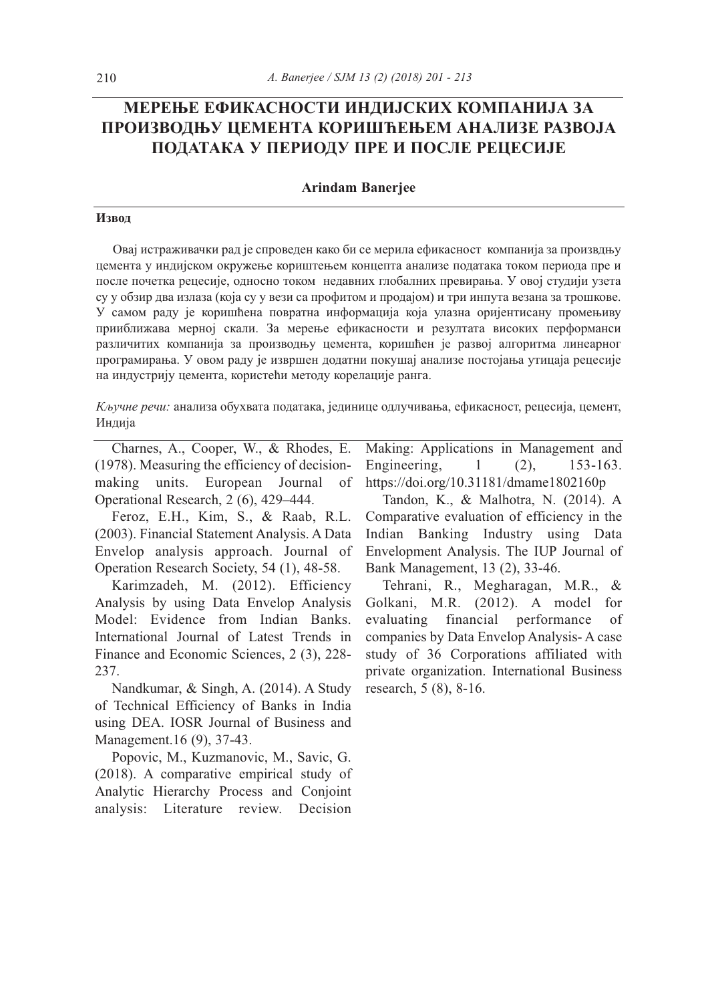# **МЕРЕЊЕ ЕФИКАСНОСТИ ИНДИЈСКИХ КОМПАНИЈА ЗА ПРОИЗВОДЊУ ЦЕМЕНТА КОРИШЋЕЊЕМ АНАЛИЗE РАЗВОЈА ПОДАТАКА У ПЕРИОДУ ПРЕ И ПОСЛЕ РЕЦЕСИЈЕ**

#### **Arindam Banerjee**

#### **Извод**

Овај истраживачки рад је спроведен како би се мерила ефикасност компанија за произвдњу цемента у индијском окружење кориштењем концепта анализе података током периода пре и после почетка рецесије, односно током недавних глобалних превирања. У овој студији узета су у обзир два излаза (која су у вези са профитом и продајом) и три инпута везана за трошкове. У самом раду је коришћена повратна информација која улазна оријентисану промењиву прииближава мерној скали. За мерење ефикасности и резултата високих перформанси различитих компанија за производњу цемента, коришћен је развој алгоритма линеарног програмирања. У овом раду је извршен додатни покушај анализе постојања утицаја рецесије на индустрију цемента, користећи методу корелације ранга.

*Кључне речи:* анализа обухвата података, јединице одлучивања, ефикасност, рецесија, цемент, Индија

Charnes, A., Cooper, W., & Rhodes, E. (1978). Measuring the efficiency of decisionmaking units. European Journal of Operational Research, 2 (6), 429–444.

Feroz, E.H., Kim, S., & Raab, R.L. (2003). Financial Statement Analysis. A Data Envelop analysis approach. Journal of Operation Research Society, 54 (1), 48-58.

Karimzadeh, M. (2012). Efficiency Analysis by using Data Envelop Analysis Model: Evidence from Indian Banks. International Journal of Latest Trends in Finance and Economic Sciences, 2 (3), 228- 237.

Nandkumar, & Singh, A. (2014). A Study of Technical Efficiency of Banks in India using DEA. IOSR Journal of Business and Management.16 (9), 37-43.

Popovic, M., Kuzmanovic, M., Savic, G. (2018). A comparative empirical study of Analytic Hierarchy Process and Conjoint analysis: Literature review. Decision

Making: Applications in Management and Engineering, 1 (2), 153-163. https://doi.org/10.31181/dmame1802160p

Tandon, K., & Malhotra, N. (2014). A Comparative evaluation of efficiency in the Indian Banking Industry using Data Envelopment Analysis. The IUP Journal of Bank Management, 13 (2), 33-46.

Tehrani, R., Megharagan, M.R., & Golkani, M.R. (2012). A model for evaluating financial performance of companies by Data Envelop Analysis- A case study of 36 Corporations affiliated with private organization. International Business research, 5 (8), 8-16.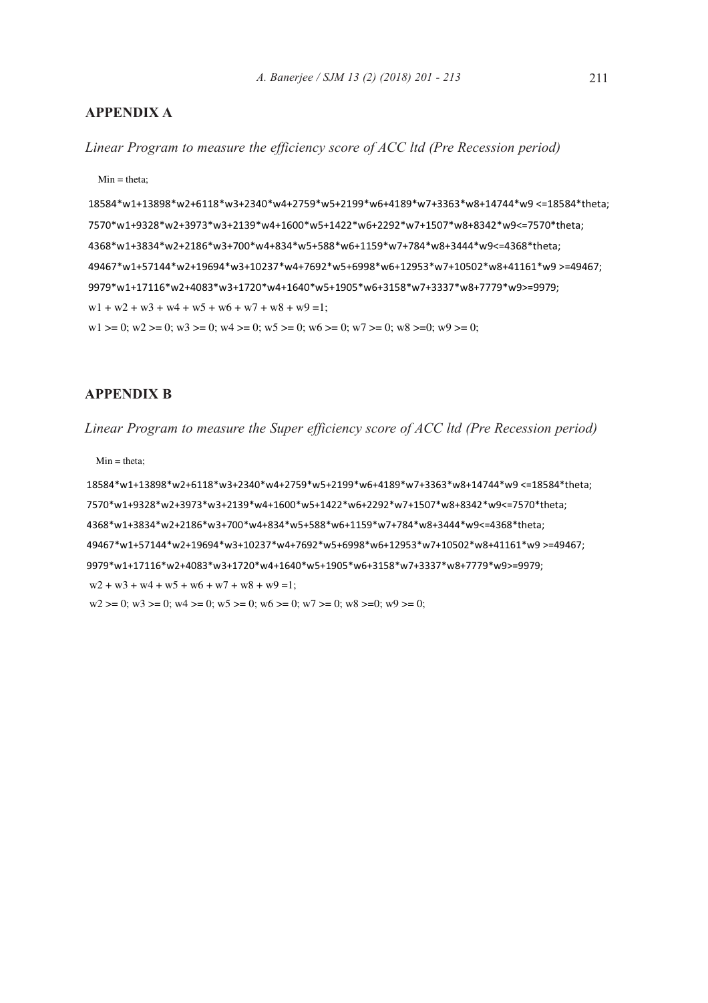## **APPENdiX A**

*Linear Program to measure the efficiency score of ACC ltd (Pre Recession period)*

 $Min = theta;$ 

18584\*w1+13898\*w2+6118\*w3+2340\*w4+2759\*w5+2199\*w6+4189\*w7+3363\*w8+14744\*w9 <=18584\*theta; 7570\*w1+9328\*w2+3973\*w3+2139\*w4+1600\*w5+1422\*w6+2292\*w7+1507\*w8+8342\*w9<=7570\*theta; 4368\*w1+3834\*w2+2186\*w3+700\*w4+834\*w5+588\*w6+1159\*w7+784\*w8+3444\*w9<=4368\*theta; 49467\*w1+57144\*w2+19694\*w3+10237\*w4+7692\*w5+6998\*w6+12953\*w7+10502\*w8+41161\*w9 >=49467; 9979\*w1+17116\*w2+4083\*w3+1720\*w4+1640\*w5+1905\*w6+3158\*w7+3337\*w8+7779\*w9>=9979;  $w1 + w2 + w3 + w4 + w5 + w6 + w7 + w8 + w9 = 1$ ;  $w1 \ge 0$ ;  $w2 \ge 0$ ;  $w3 \ge 0$ ;  $w4 \ge 0$ ;  $w5 \ge 0$ ;  $w6 \ge 0$ ;  $w7 \ge 0$ ;  $w8 \ge 0$ ;  $w9 \ge 0$ ;

### **APPENdiX B**

*Linear Program to measure the Super efficiency score of ACC ltd (Pre Recession period)*

Min = theta;

18584\*w1+13898\*w2+6118\*w3+2340\*w4+2759\*w5+2199\*w6+4189\*w7+3363\*w8+14744\*w9 <=18584\*theta; 7570\*w1+9328\*w2+3973\*w3+2139\*w4+1600\*w5+1422\*w6+2292\*w7+1507\*w8+8342\*w9<=7570\*theta; 4368\*w1+3834\*w2+2186\*w3+700\*w4+834\*w5+588\*w6+1159\*w7+784\*w8+3444\*w9<=4368\*theta; 49467\*w1+57144\*w2+19694\*w3+10237\*w4+7692\*w5+6998\*w6+12953\*w7+10502\*w8+41161\*w9 >=49467; 9979\*w1+17116\*w2+4083\*w3+1720\*w4+1640\*w5+1905\*w6+3158\*w7+3337\*w8+7779\*w9>=9979;  $w2 + w3 + w4 + w5 + w6 + w7 + w8 + w9 = 1$ ;  $w2 >= 0$ ;  $w3 >= 0$ ;  $w4 >= 0$ ;  $w5 >= 0$ ;  $w6 >= 0$ ;  $w7 >= 0$ ;  $w8 >= 0$ ;  $w9 >= 0$ ;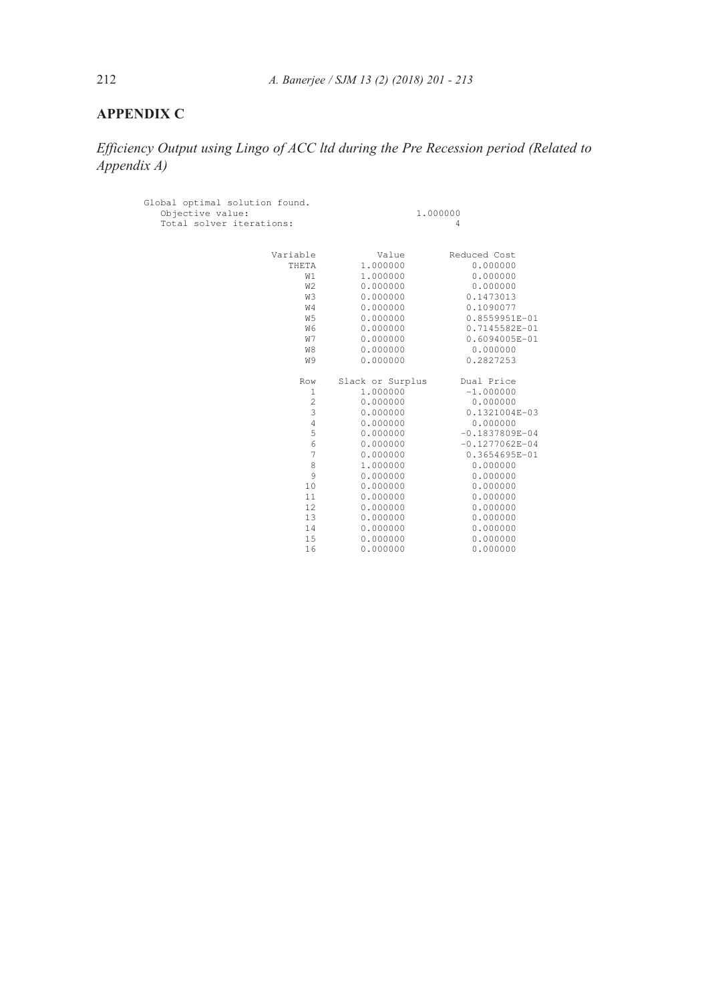## **APPENdiX C**

*Efficiency Output using Lingo of ACC ltd during the Pre Recession period (Related to Appendix A)*

| Global optimal solution found.<br>Objective value:<br>Total solver iterations: | 1,000000<br>4    |                    |  |
|--------------------------------------------------------------------------------|------------------|--------------------|--|
| Variable                                                                       | Value            | Reduced Cost       |  |
| THETA                                                                          | 1.000000         | 0.000000           |  |
| W1                                                                             | 1,000000         | 0.000000           |  |
| W <sub>2</sub>                                                                 | 0.000000         | 0.000000           |  |
| WЗ                                                                             | 0.000000         | 0.1473013          |  |
| W4                                                                             | 0.000000         | 0.1090077          |  |
| W <sub>5</sub>                                                                 | 0.000000         | 0.8559951E-01      |  |
| W6                                                                             | 0.000000         | 0.7145582E-01      |  |
| W7                                                                             | 0.000000         | 0.6094005E-01      |  |
| W8                                                                             | 0.000000         | 0.000000           |  |
| W9                                                                             | 0.000000         | 0.2827253          |  |
| Row                                                                            | Slack or Surplus | Dual Price         |  |
| $\mathbf{1}$                                                                   | 1,000000         | $-1.000000$        |  |
| $\overline{c}$                                                                 | 0.000000         | 0.000000           |  |
| 3                                                                              | 0.000000         | 0.1321004E-03      |  |
| $\overline{4}$                                                                 | 0.000000         | 0.000000           |  |
| 5                                                                              | 0.000000         | $-0.1837809E - 04$ |  |
| 6                                                                              | 0.000000         | $-0.1277062E - 04$ |  |
| 7                                                                              | 0.000000         | 0.3654695E-01      |  |
| 8                                                                              | 1,000000         | 0.000000           |  |
| 9                                                                              | 0.000000         | 0.000000           |  |
| 10                                                                             | 0.000000         | 0.000000           |  |
| 11                                                                             | 0.000000         | 0.000000           |  |
| 12                                                                             | 0.000000         | 0.000000           |  |
| 13                                                                             | 0.000000         | 0.000000           |  |
| 14                                                                             | 0.000000         | 0.000000           |  |
| 15                                                                             | 0.000000         | 0.000000           |  |
| 16                                                                             | 0.000000         | 0.000000           |  |